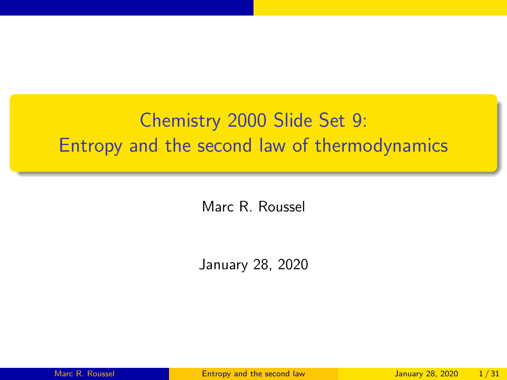# <span id="page-0-0"></span>Chemistry 2000 Slide Set 9: Entropy and the second law of thermodynamics

Marc R. Roussel

January 28, 2020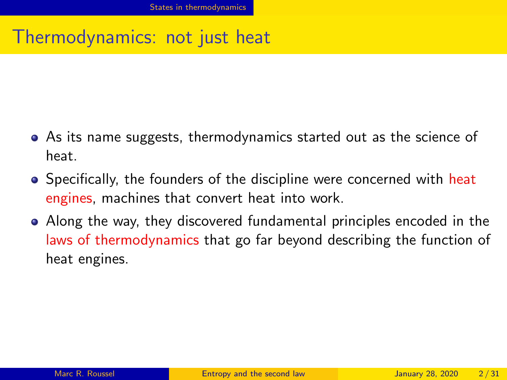### <span id="page-1-0"></span>Thermodynamics: not just heat

- As its name suggests, thermodynamics started out as the science of heat.
- Specifically, the founders of the discipline were concerned with heat engines, machines that convert heat into work.
- Along the way, they discovered fundamental principles encoded in the laws of thermodynamics that go far beyond describing the function of heat engines.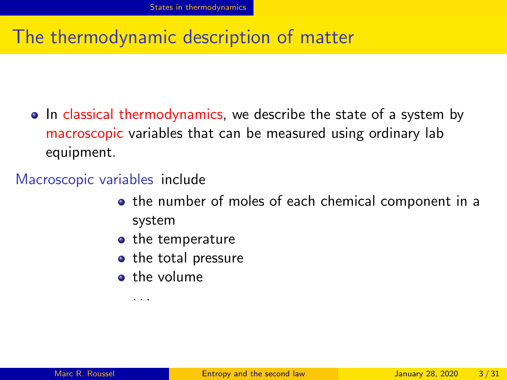#### The thermodynamic description of matter

• In classical thermodynamics, we describe the state of a system by macroscopic variables that can be measured using ordinary lab equipment.

#### Macroscopic variables include

- the number of moles of each chemical component in a system
- $\bullet$  the temperature
- the total pressure
- **o** the volume

. . .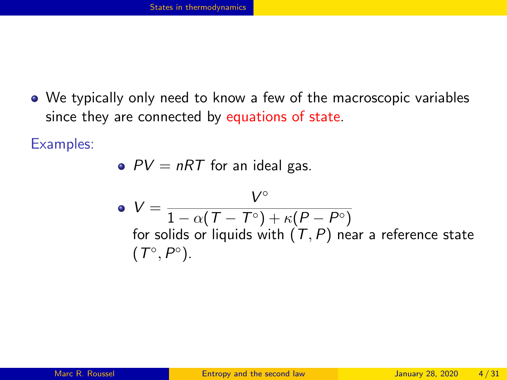We typically only need to know a few of the macroscopic variables since they are connected by equations of state.

Examples:

• 
$$
PV = nRT
$$
 for an ideal gas.

• 
$$
V = \frac{V^{\circ}}{1 - \alpha(T - T^{\circ}) + \kappa(P - P^{\circ})}
$$
  
for solids or liquids with  $(T, P)$  near a reference state  $(T^{\circ}, P^{\circ})$ .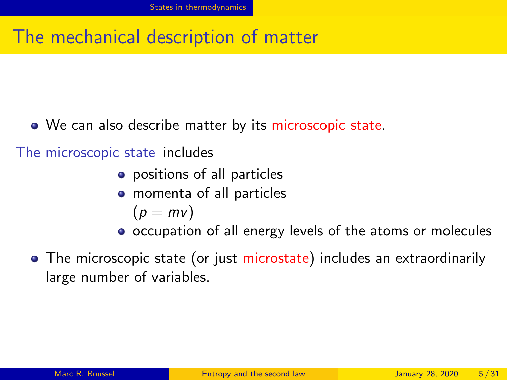#### The mechanical description of matter

• We can also describe matter by its microscopic state.

The microscopic state includes

- positions of all particles
- momenta of all particles

$$
(p=mv)
$$

- occupation of all energy levels of the atoms or molecules
- The microscopic state (or just microstate) includes an extraordinarily large number of variables.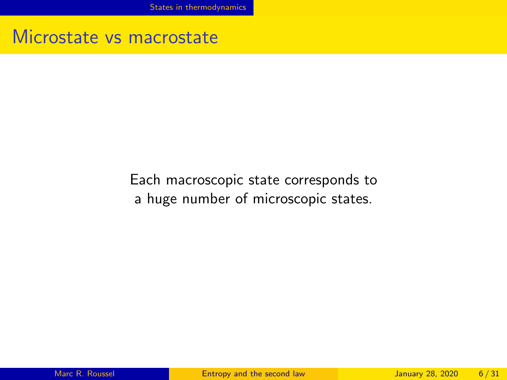[States in thermodynamics](#page-1-0)

#### Microstate vs macrostate

#### Each macroscopic state corresponds to a huge number of microscopic states.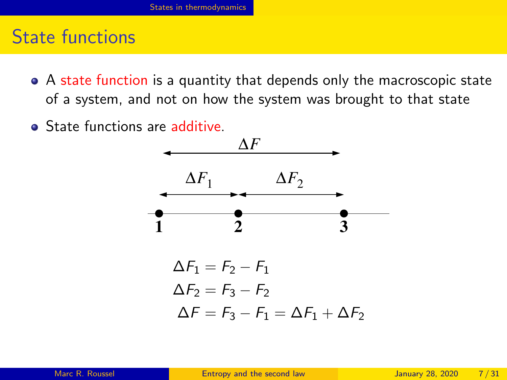#### State functions

- A state function is a quantity that depends only the macroscopic state of a system, and not on how the system was brought to that state
- **•** State functions are additive

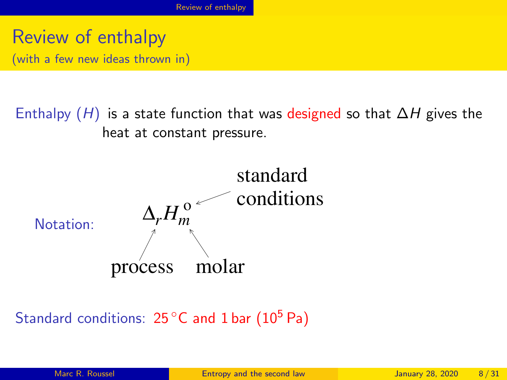<span id="page-7-0"></span>Review of enthalpy (with a few new ideas thrown in)

Enthalpy  $(H)$  is a state function that was designed so that  $\Delta H$  gives the heat at constant pressure.



Standard conditions:  $25^{\circ}$ C and 1 bar (10<sup>5</sup> Pa)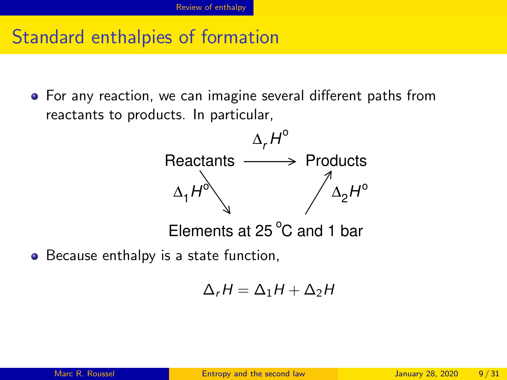#### Standard enthalpies of formation

For any reaction, we can imagine several different paths from reactants to products. In particular,



• Because enthalpy is a state function,

$$
\Delta_r H = \Delta_1 H + \Delta_2 H
$$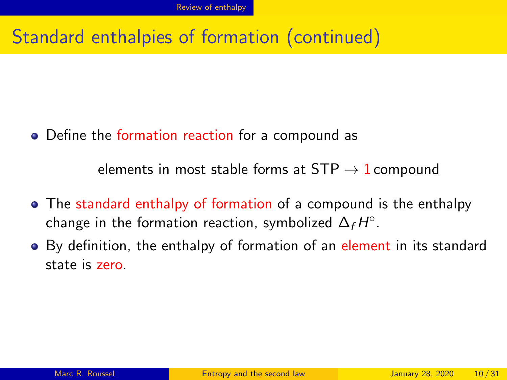### Standard enthalpies of formation (continued)

Define the formation reaction for a compound as

elements in most stable forms at  $STP \rightarrow 1$  compound

- The standard enthalpy of formation of a compound is the enthalpy change in the formation reaction, symbolized  $\Delta_f H^\circ.$
- By definition, the enthalpy of formation of an element in its standard state is zero.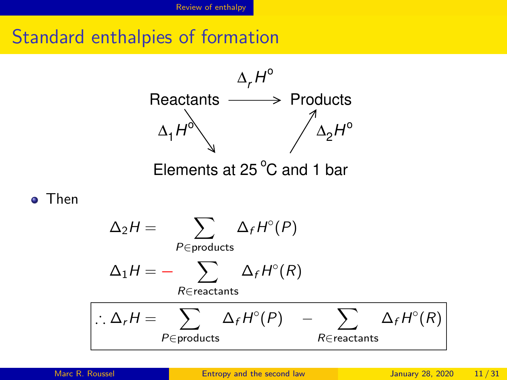Standard enthalpies of formation



Then

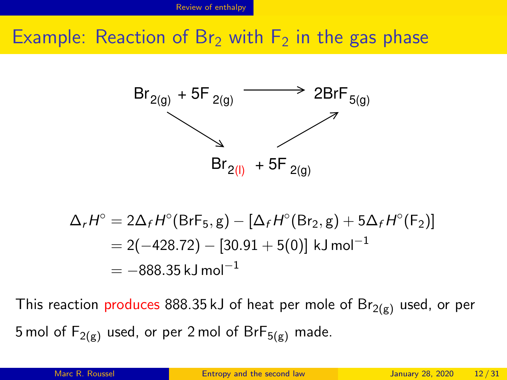#### Example: Reaction of Br<sub>2</sub> with  $F_2$  in the gas phase



$$
\Delta_r H^\circ = 2\Delta_f H^\circ(\text{BrF}_5, g) - [\Delta_f H^\circ(\text{Br}_2, g) + 5\Delta_f H^\circ(\text{F}_2)]
$$
  
= 2(-428.72) - [30.91 + 5(0)] kJ mol<sup>-1</sup>  
= -888.35 kJ mol<sup>-1</sup>

This reaction produces 888.35 kJ of heat per mole of  $Br_{2(g)}$  used, or per 5 mol of  $F_{2(g)}$  used, or per 2 mol of  $BrF_{5(g)}$  made.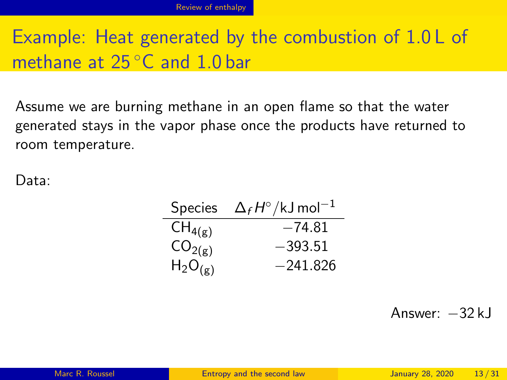# Example: Heat generated by the combustion of 1.0 L of methane at 25 °C and 1.0 bar

Assume we are burning methane in an open flame so that the water generated stays in the vapor phase once the products have returned to room temperature.

Data:

| Species            | $\Delta_f H^\circ/\rm kJ$ mol $^{-1}$ |
|--------------------|---------------------------------------|
| $CH_{4(g)}$        | $-74.81$                              |
| CO <sub>2(g)</sub> | $-393.51$                             |
| $H_2O_{(g)}$       | $-241.826$                            |

Answer: −32 kJ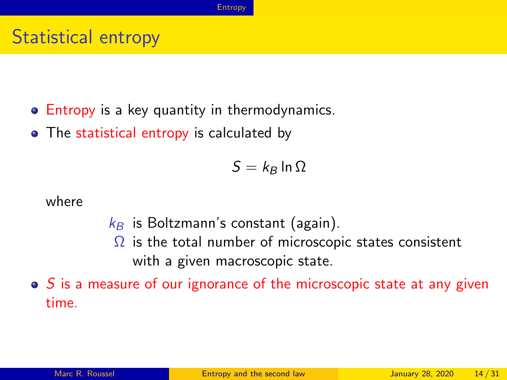### <span id="page-13-0"></span>Statistical entropy

- **Entropy** is a key quantity in thermodynamics.
- The statistical entropy is calculated by

 $S = k_B \ln \Omega$ 

where

- $k_B$  is Boltzmann's constant (again).
	- $\Omega$  is the total number of microscopic states consistent with a given macroscopic state.
- $\bullet$  S is a measure of our ignorance of the microscopic state at any given time.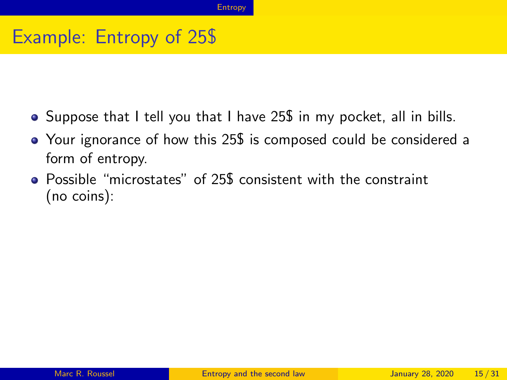### Example: Entropy of 25\$

- Suppose that I tell you that I have 25\$ in my pocket, all in bills.
- Your ignorance of how this 25\$ is composed could be considered a form of entropy.
- Possible "microstates" of 25\$ consistent with the constraint (no coins):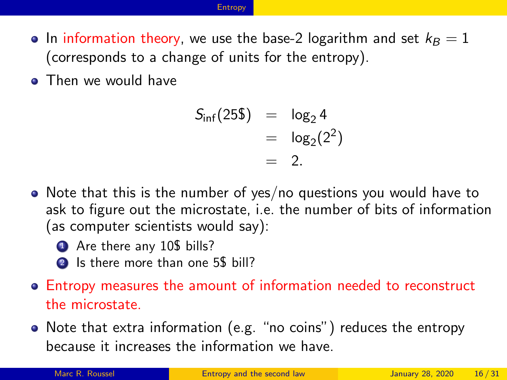#### **[Entropy](#page-13-0)**

- In information theory, we use the base-2 logarithm and set  $k_B = 1$ (corresponds to a change of units for the entropy).
- **Then we would have**

$$
S_{\inf}(25\$\) = \log_2 4 \\
= \log_2(2^2) \\
= 2.
$$

- Note that this is the number of yes/no questions you would have to ask to figure out the microstate, i.e. the number of bits of information (as computer scientists would say):
	- **4** Are there any 10\$ bills?
	- 2 Is there more than one 5\$ bill?
- Entropy measures the amount of information needed to reconstruct the microstate.
- Note that extra information (e.g. "no coins") reduces the entropy because it increases the information we have.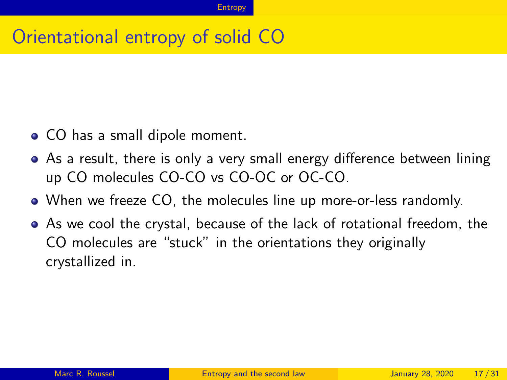### Orientational entropy of solid CO

- CO has a small dipole moment.
- As a result, there is only a very small energy difference between lining up CO molecules CO-CO vs CO-OC or OC-CO.
- When we freeze CO, the molecules line up more-or-less randomly.
- As we cool the crystal, because of the lack of rotational freedom, the CO molecules are "stuck" in the orientations they originally crystallized in.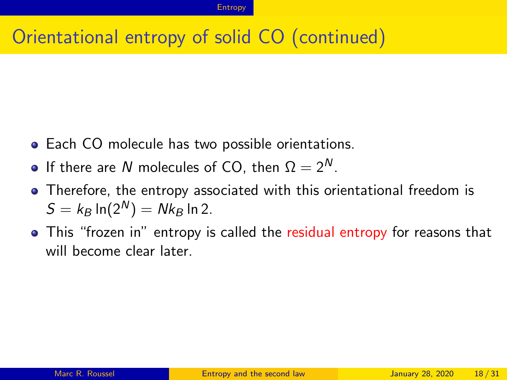## Orientational entropy of solid CO (continued)

- **Each CO molecule has two possible orientations.**
- **If there are N molecules of CO**, then  $\Omega = 2^N$ .
- Therefore, the entropy associated with this orientational freedom is  $S = k_B \ln(2^N) = Nk_B \ln 2$ .
- This "frozen in" entropy is called the residual entropy for reasons that will become clear later.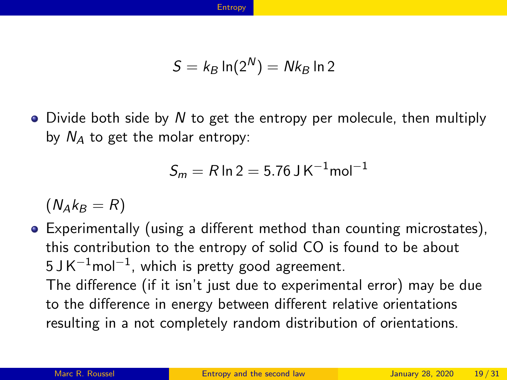$$
S=k_B \ln(2^N) = Nk_B \ln 2
$$

 $\bullet$  Divide both side by N to get the entropy per molecule, then multiply by  $N_A$  to get the molar entropy:

$$
S_m = R \ln 2 = 5.76 \text{ J K}^{-1} \text{mol}^{-1}
$$

 $(N_Ak_B = R)$ 

Experimentally (using a different method than counting microstates), this contribution to the entropy of solid CO is found to be about 5 J K $^{\rm -1}$ mol $^{\rm -1}$ , which is pretty good agreement. The difference (if it isn't just due to experimental error) may be due to the difference in energy between different relative orientations resulting in a not completely random distribution of orientations.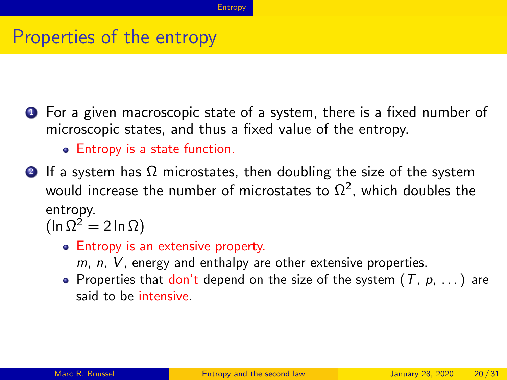#### Properties of the entropy

- **1** For a given macroscopic state of a system, there is a fixed number of microscopic states, and thus a fixed value of the entropy.
	- Entropy is a state function.
- **2** If a system has  $\Omega$  microstates, then doubling the size of the system would increase the number of microstates to  $\Omega^2$ , which doubles the entropy.

 $(\ln \Omega^2 = 2 \ln \Omega)$ 

- Entropy is an extensive property.
	- $m$ ,  $n$ ,  $V$ , energy and enthalpy are other extensive properties.
- Properties that don't depend on the size of the system  $(T, p, ...)$  are said to be intensive.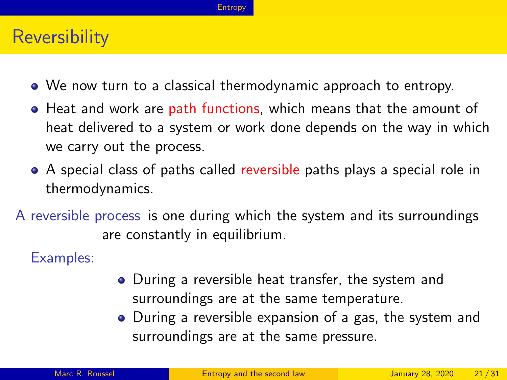#### **[Entropy](#page-13-0)**

#### **Reversibility**

- We now turn to a classical thermodynamic approach to entropy.
- **•** Heat and work are path functions, which means that the amount of heat delivered to a system or work done depends on the way in which we carry out the process.
- A special class of paths called reversible paths plays a special role in thermodynamics.
- A reversible process is one during which the system and its surroundings are constantly in equilibrium.

Examples:

- During a reversible heat transfer, the system and surroundings are at the same temperature.
- During a reversible expansion of a gas, the system and surroundings are at the same pressure.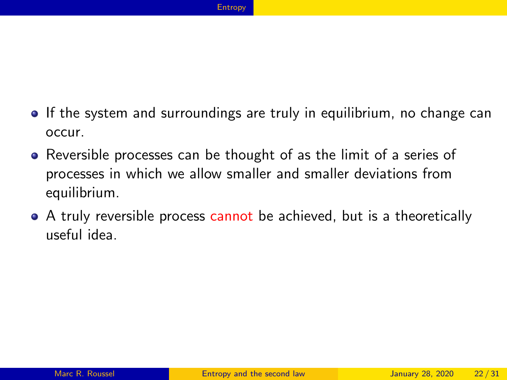- If the system and surroundings are truly in equilibrium, no change can occur.
- Reversible processes can be thought of as the limit of a series of processes in which we allow smaller and smaller deviations from equilibrium.
- A truly reversible process cannot be achieved, but is a theoretically useful idea.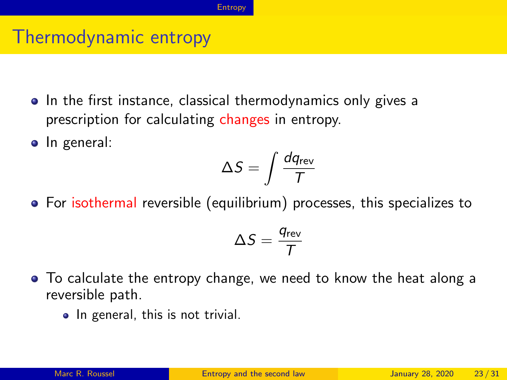#### Thermodynamic entropy

- In the first instance, classical thermodynamics only gives a prescription for calculating changes in entropy.
- In general:

$$
\Delta S = \int \frac{dq_{\rm rev}}{T}
$$

• For isothermal reversible (equilibrium) processes, this specializes to

$$
\Delta S = \frac{q_{\sf rev}}{T}
$$

- To calculate the entropy change, we need to know the heat along a reversible path.
	- In general, this is not trivial.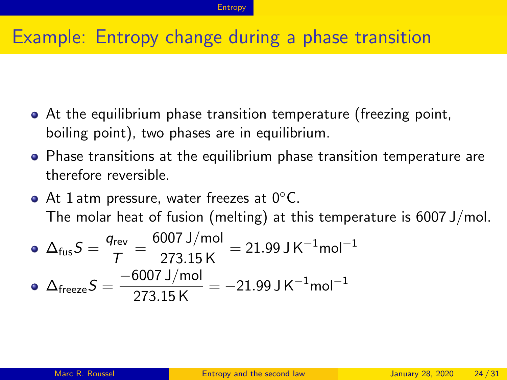### Example: Entropy change during a phase transition

- At the equilibrium phase transition temperature (freezing point, boiling point), two phases are in equilibrium.
- Phase transitions at the equilibrium phase transition temperature are therefore reversible.
- At 1 atm pressure, water freezes at  $0^{\circ}$ C. The molar heat of fusion (melting) at this temperature is 6007 J/mol.

• 
$$
\Delta_{\text{fus}} S = \frac{q_{\text{rev}}}{T} = \frac{6007 \text{ J/mol}}{273.15 \text{ K}} = 21.99 \text{ J K}^{-1} \text{mol}^{-1}
$$
  
•  $\Delta_{\text{freeze}} S = \frac{-6007 \text{ J/mol}}{273.15 \text{ K}} = -21.99 \text{ J K}^{-1} \text{mol}^{-1}$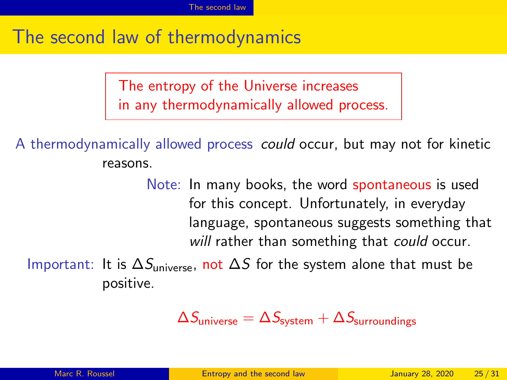### <span id="page-24-0"></span>The second law of thermodynamics

The entropy of the Universe increases in any thermodynamically allowed process.

A thermodynamically allowed process could occur, but may not for kinetic reasons.

> Note: In many books, the word spontaneous is used for this concept. Unfortunately, in everyday language, spontaneous suggests something that will rather than something that could occur.

Important: It is  $\Delta S_{\text{universe}}$ , not  $\Delta S$  for the system alone that must be positive.

 $\Delta S_{\text{universe}} = \Delta S_{\text{system}} + \Delta S_{\text{surroundings}}$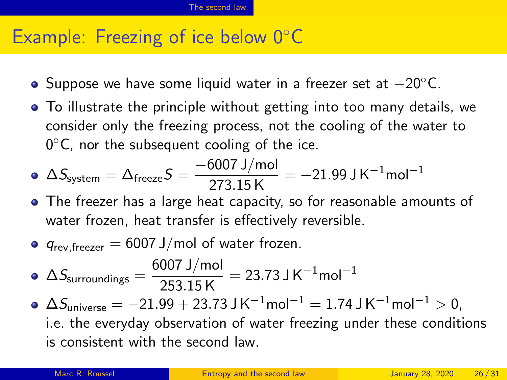#### Example: Freezing of ice below 0◦C

- $\bullet$  Suppose we have some liquid water in a freezer set at  $-20^{\circ}$ C.
- To illustrate the principle without getting into too many details, we consider only the freezing process, not the cooling of the water to  $0^{\circ}$ C, nor the subsequent cooling of the ice.

• 
$$
\Delta S_{\text{system}} = \Delta_{\text{freeze}} S = \frac{-6007 \text{ J/mol}}{273.15 \text{ K}} = -21.99 \text{ J K}^{-1} \text{mol}^{-1}
$$

- The freezer has a large heat capacity, so for reasonable amounts of water frozen, heat transfer is effectively reversible.
- $q_{rev-freezer} = 6007$  J/mol of water frozen.

• 
$$
\Delta S_{\text{surroundings}} = \frac{6007 \text{ J/mol}}{253.15 \text{ K}} = 23.73 \text{ J K}^{-1} \text{mol}^{-1}
$$

 $\Delta S_{\text{universe}} = -21.99 + 23.73 \text{ J K}^{-1} \text{mol}^{-1} = 1.74 \text{ J K}^{-1} \text{mol}^{-1} > 0.$ i.e. the everyday observation of water freezing under these conditions is consistent with the second law.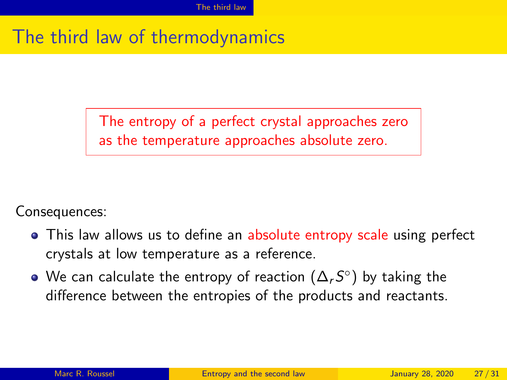# <span id="page-26-0"></span>The third law of thermodynamics

The entropy of a perfect crystal approaches zero as the temperature approaches absolute zero.

Consequences:

- This law allows us to define an absolute entropy scale using perfect crystals at low temperature as a reference.
- We can calculate the entropy of reaction  $(\Delta_\tau S^\circ)$  by taking the difference between the entropies of the products and reactants.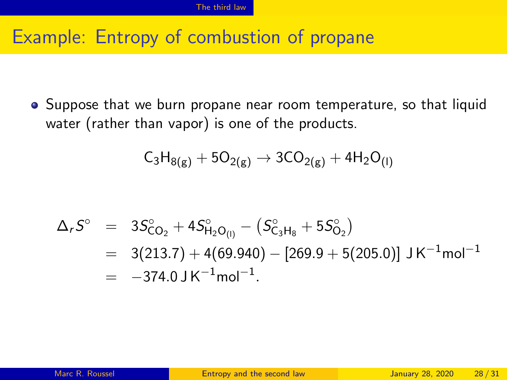### Example: Entropy of combustion of propane

Suppose that we burn propane near room temperature, so that liquid water (rather than vapor) is one of the products.

$$
\mathsf{C}_3\mathsf{H}_{8(g)} + 5\mathsf{O}_{2(g)} \rightarrow 3\mathsf{CO}_{2(g)} + 4\mathsf{H}_2\mathsf{O}_{(I)}
$$

$$
\Delta_r S^{\circ} = 3S_{CO_2}^{\circ} + 4S_{H_2O_{(l)}}^{\circ} - (S_{C_3H_8}^{\circ} + 5S_{O_2}^{\circ})
$$
  
= 3(213.7) + 4(69.940) - [269.9 + 5(205.0)] J K<sup>-1</sup>mol<sup>-1</sup>  
= -374.0 J K<sup>-1</sup>mol<sup>-1</sup>.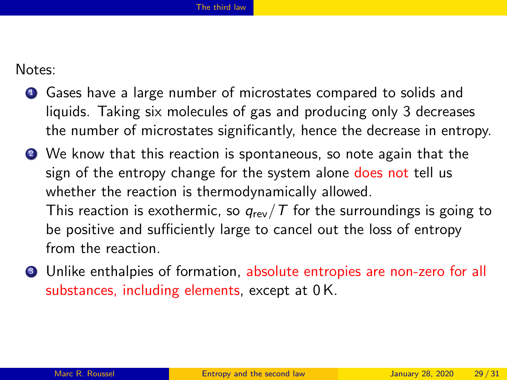Notes:

- **1** Gases have a large number of microstates compared to solids and liquids. Taking six molecules of gas and producing only 3 decreases the number of microstates significantly, hence the decrease in entropy.
- <sup>2</sup> We know that this reaction is spontaneous, so note again that the sign of the entropy change for the system alone does not tell us whether the reaction is thermodynamically allowed. This reaction is exothermic, so  $q_{rev}/T$  for the surroundings is going to be positive and sufficiently large to cancel out the loss of entropy from the reaction.
- **3** Unlike enthalpies of formation, absolute entropies are non-zero for all substances, including elements, except at 0 K.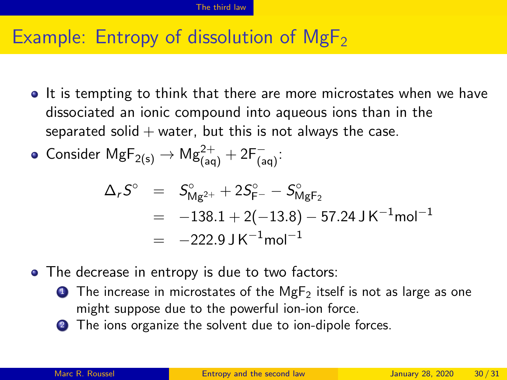## Example: Entropy of dissolution of  $MgF<sub>2</sub>$

- It is tempting to think that there are more microstates when we have dissociated an ionic compound into aqueous ions than in the separated solid  $+$  water, but this is not always the case.
- $\mathsf{Consider}\ \mathsf{MgF}_{2(\mathsf{s})}\rightarrow\mathsf{Mg}_{(\mathsf{aq})}^{2+}+2\mathsf{F}_{(\mathsf{aq})}^{-}.$

$$
\Delta_r S^{\circ} = S^{\circ}_{Mg^{2+}} + 2S^{\circ}_{F^-} - S^{\circ}_{MgF_2}
$$
  
= -138.1 + 2(-13.8) - 57.24 J K<sup>-1</sup>mol<sup>-1</sup>  
= -222.9 J K<sup>-1</sup>mol<sup>-1</sup>

- The decrease in entropy is due to two factors:
	- **1** The increase in microstates of the MgF<sub>2</sub> itself is not as large as one might suppose due to the powerful ion-ion force.
	- <sup>2</sup> The ions organize the solvent due to ion-dipole forces.